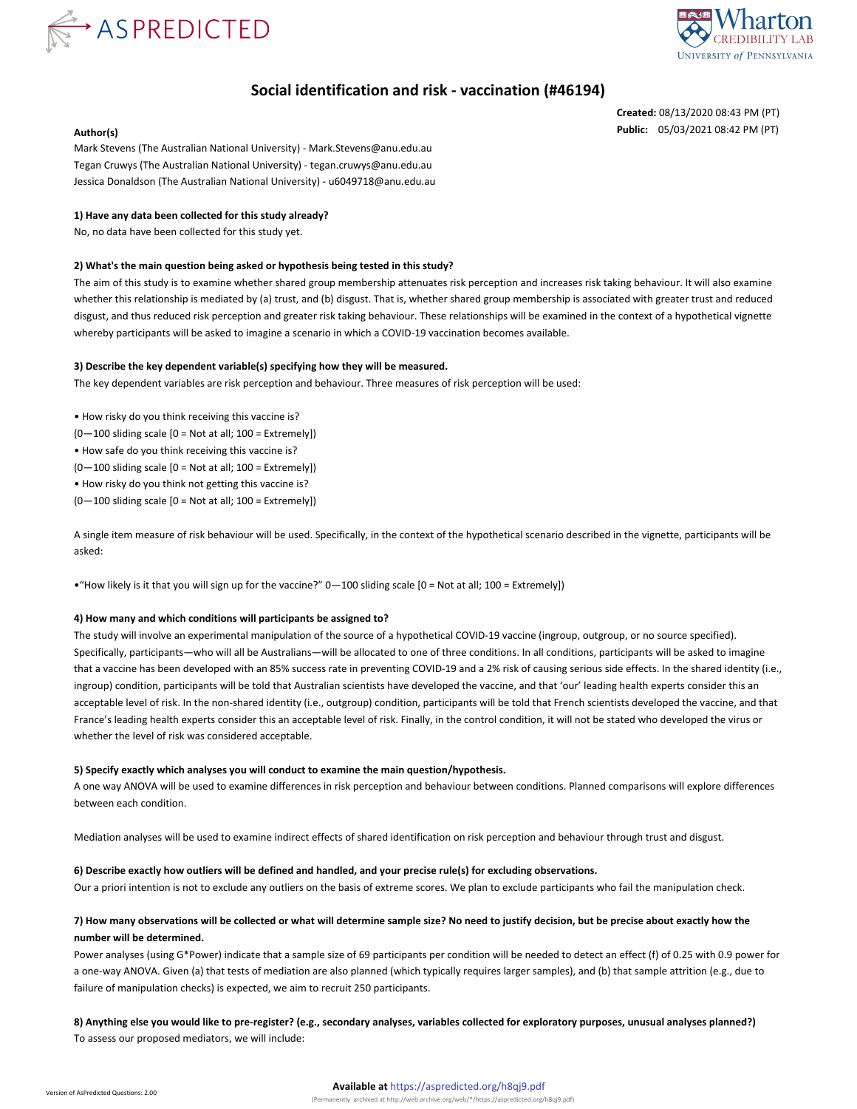



# **Social identification and risk - vaccination (#46194)**

**Created:** 08/13/2020 08:43 PM (PT) **Author(s) Public:** 05/03/2021 08:42 PM (PT)

Mark Stevens (The Australian National University) - Mark.Stevens@anu.edu.au Tegan Cruwys (The Australian National University) - tegan.cruwys@anu.edu.au Jessica Donaldson (The Australian National University) - u6049718@anu.edu.au

#### **1) Have any data been collected for this study already?**

No, no data have been collected for this study yet.

#### **2) What's the main question being asked or hypothesis being tested in this study?**

The aim of this study is to examine whether shared group membership attenuates risk perception and increases risk taking behaviour. It will also examine whether this relationship is mediated by (a) trust, and (b) disgust. That is, whether shared group membership is associated with greater trust and reduced disgust, and thus reduced risk perception and greater risk taking behaviour. These relationships will be examined in the context of a hypothetical vignette whereby participants will be asked to imagine a scenario in which a COVID-19 vaccination becomes available.

### **3) Describe the key dependent variable(s) specifying how they will be measured.**

The key dependent variables are risk perception and behaviour. Three measures of risk perception will be used:

- How risky do you think receiving this vaccine is?
- $(0-100$  sliding scale  $[0 = Not at all; 100 = Extremely])$
- How safe do you think receiving this vaccine is?
- $(0-100$  sliding scale  $[0 = Not$  at all;  $100 = Extremely]$
- How risky do you think not getting this vaccine is?
- $(0-100$  sliding scale  $[0 = Not$  at all;  $100 = Extremely]$

A single item measure of risk behaviour will be used. Specifically, in the context of the hypothetical scenario described in the vignette, participants will be asked:

•"How likely is it that you will sign up for the vaccine?" 0—100 sliding scale [0 = Not at all; 100 = Extremely])

#### **4) How many and which conditions will participants be assigned to?**

The study will involve an experimental manipulation of the source of a hypothetical COVID-19 vaccine (ingroup, outgroup, or no source specified). Specifically, participants—who will all be Australians—will be allocated to one of three conditions. In all conditions, participants will be asked to imagine that a vaccine has been developed with an 85% success rate in preventing COVID-19 and a 2% risk of causing serious side effects. In the shared identity (i.e., ingroup) condition, participants will be told that Australian scientists have developed the vaccine, and that 'our' leading health experts consider this an acceptable level of risk. In the non-shared identity (i.e., outgroup) condition, participants will be told that French scientists developed the vaccine, and that France's leading health experts consider this an acceptable level of risk. Finally, in the control condition, it will not be stated who developed the virus or whether the level of risk was considered acceptable.

#### **5) Specify exactly which analyses you will conduct to examine the main question/hypothesis.**

A one way ANOVA will be used to examine differences in risk perception and behaviour between conditions. Planned comparisons will explore differences between each condition.

Mediation analyses will be used to examine indirect effects of shared identification on risk perception and behaviour through trust and disgust.

#### **6) Describe exactly how outliers will be defined and handled, and your precise rule(s) for excluding observations.**

Our a priori intention is not to exclude any outliers on the basis of extreme scores. We plan to exclude participants who fail the manipulation check.

## **7) How many observations will be collected or what will determine sample size? No need to justify decision, but be precise about exactly how the number will be determined.**

Power analyses (using G\*Power) indicate that a sample size of 69 participants per condition will be needed to detect an effect (f) of 0.25 with 0.9 power for a one-way ANOVA. Given (a) that tests of mediation are also planned (which typically requires larger samples), and (b) that sample attrition (e.g., due to failure of manipulation checks) is expected, we aim to recruit 250 participants.

**8) Anything else you would like to pre-register? (e.g., secondary analyses, variables collected for exploratory purposes, unusual analyses planned?)** To assess our proposed mediators, we will include:

#### **Available at** https://aspredicted.org/h8qj9.pdf (Permanently archived at http://web.archive.org/web/\*/https://aspredicted.org/h8qj9.pdf)